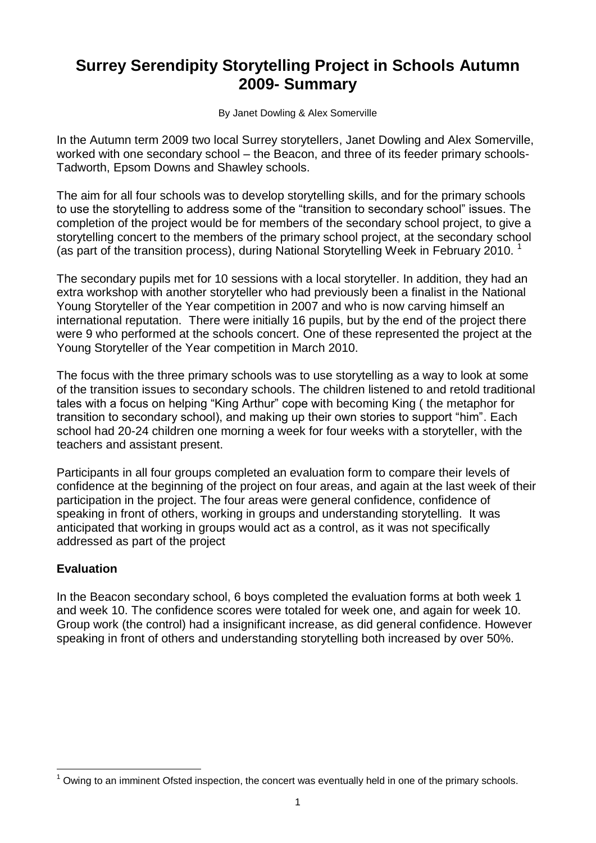# **Surrey Serendipity Storytelling Project in Schools Autumn 2009- Summary**

By Janet Dowling & Alex Somerville

In the Autumn term 2009 two local Surrey storytellers, Janet Dowling and Alex Somerville, worked with one secondary school – the Beacon, and three of its feeder primary schools-Tadworth, Epsom Downs and Shawley schools.

The aim for all four schools was to develop storytelling skills, and for the primary schools to use the storytelling to address some of the "transition to secondary school" issues. The completion of the project would be for members of the secondary school project, to give a storytelling concert to the members of the primary school project, at the secondary school (as part of the transition process), during National Storytelling Week in February 2010. 1

The secondary pupils met for 10 sessions with a local storyteller. In addition, they had an extra workshop with another storyteller who had previously been a finalist in the National Young Storyteller of the Year competition in 2007 and who is now carving himself an international reputation. There were initially 16 pupils, but by the end of the project there were 9 who performed at the schools concert. One of these represented the project at the Young Storyteller of the Year competition in March 2010.

The focus with the three primary schools was to use storytelling as a way to look at some of the transition issues to secondary schools. The children listened to and retold traditional tales with a focus on helping "King Arthur" cope with becoming King ( the metaphor for transition to secondary school), and making up their own stories to support "him". Each school had 20-24 children one morning a week for four weeks with a storyteller, with the teachers and assistant present.

Participants in all four groups completed an evaluation form to compare their levels of confidence at the beginning of the project on four areas, and again at the last week of their participation in the project. The four areas were general confidence, confidence of speaking in front of others, working in groups and understanding storytelling. It was anticipated that working in groups would act as a control, as it was not specifically addressed as part of the project

### **Evaluation**

<u>.</u>

In the Beacon secondary school, 6 boys completed the evaluation forms at both week 1 and week 10. The confidence scores were totaled for week one, and again for week 10. Group work (the control) had a insignificant increase, as did general confidence. However speaking in front of others and understanding storytelling both increased by over 50%.

Owing to an imminent Ofsted inspection, the concert was eventually held in one of the primary schools.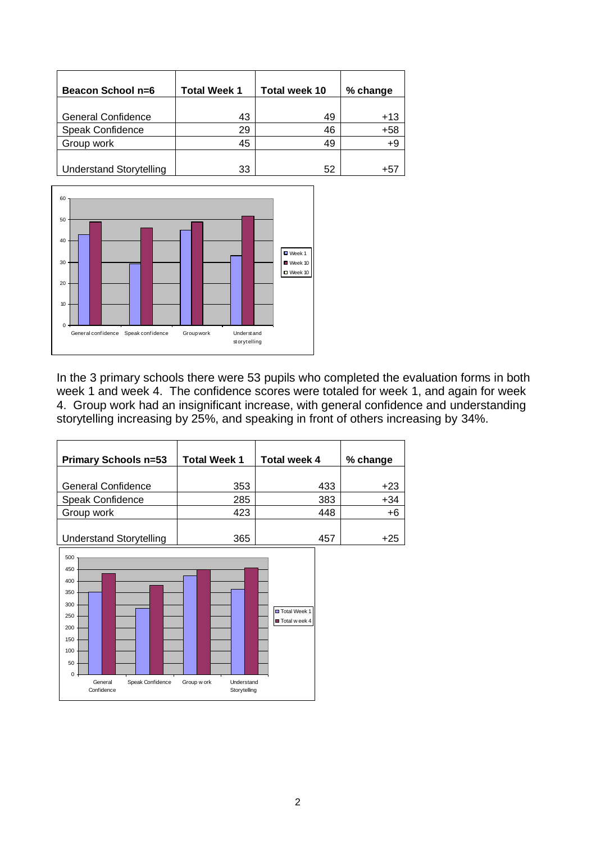| Beacon School n=6              | <b>Total Week 1</b> | <b>Total week 10</b> | % change |
|--------------------------------|---------------------|----------------------|----------|
|                                |                     |                      |          |
| <b>General Confidence</b>      | 43                  | 49                   | $+13$    |
| Speak Confidence               | 29                  | 46                   | $+58$    |
| Group work                     | 45                  | 49                   | +9       |
|                                |                     |                      |          |
| <b>Understand Storytelling</b> | 33                  | 52                   | +5.      |



In the 3 primary schools there were 53 pupils who completed the evaluation forms in both week 1 and week 4. The confidence scores were totaled for week 1, and again for week 4. Group work had an insignificant increase, with general confidence and understanding storytelling increasing by 25%, and speaking in front of others increasing by 34%.

| <b>Primary Schools n=53</b>    | <b>Total Week 1</b> | <b>Total week 4</b> | % change |
|--------------------------------|---------------------|---------------------|----------|
|                                |                     |                     |          |
| <b>General Confidence</b>      | 353                 | 433                 | +23      |
| Speak Confidence               | 285                 | 383                 | $+34$    |
| Group work                     | 423                 | 448                 | $+6$     |
|                                |                     |                     |          |
| <b>Understand Storytelling</b> | 365                 | 457                 | +25      |
| $500 -$                        |                     |                     |          |

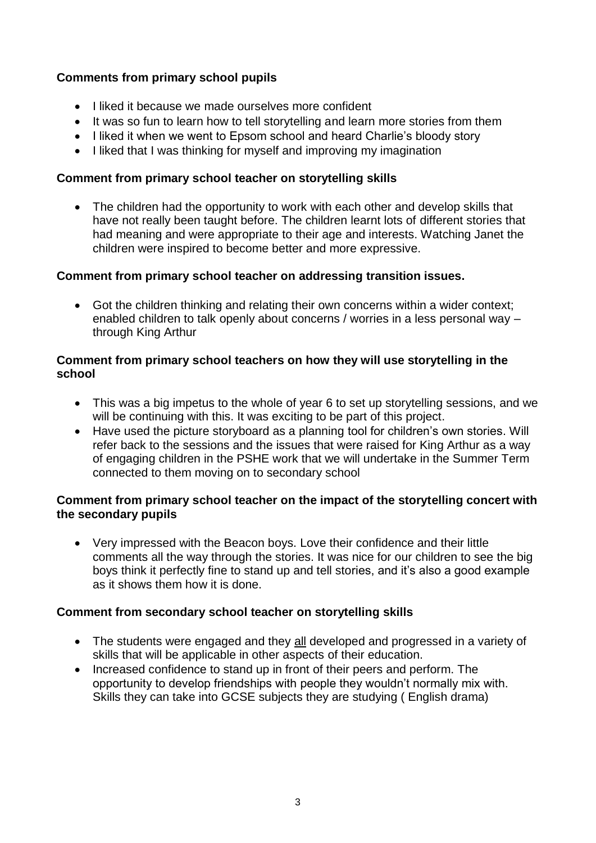## **Comments from primary school pupils**

- I liked it because we made ourselves more confident
- It was so fun to learn how to tell storytelling and learn more stories from them
- I liked it when we went to Epsom school and heard Charlie's bloody story
- I liked that I was thinking for myself and improving my imagination

#### **Comment from primary school teacher on storytelling skills**

• The children had the opportunity to work with each other and develop skills that have not really been taught before. The children learnt lots of different stories that had meaning and were appropriate to their age and interests. Watching Janet the children were inspired to become better and more expressive.

### **Comment from primary school teacher on addressing transition issues.**

 Got the children thinking and relating their own concerns within a wider context; enabled children to talk openly about concerns / worries in a less personal way – through King Arthur

### **Comment from primary school teachers on how they will use storytelling in the school**

- This was a big impetus to the whole of year 6 to set up storytelling sessions, and we will be continuing with this. It was exciting to be part of this project.
- Have used the picture storyboard as a planning tool for children's own stories. Will refer back to the sessions and the issues that were raised for King Arthur as a way of engaging children in the PSHE work that we will undertake in the Summer Term connected to them moving on to secondary school

### **Comment from primary school teacher on the impact of the storytelling concert with the secondary pupils**

 Very impressed with the Beacon boys. Love their confidence and their little comments all the way through the stories. It was nice for our children to see the big boys think it perfectly fine to stand up and tell stories, and it's also a good example as it shows them how it is done.

### **Comment from secondary school teacher on storytelling skills**

- The students were engaged and they all developed and progressed in a variety of skills that will be applicable in other aspects of their education.
- Increased confidence to stand up in front of their peers and perform. The opportunity to develop friendships with people they wouldn't normally mix with. Skills they can take into GCSE subjects they are studying ( English drama)